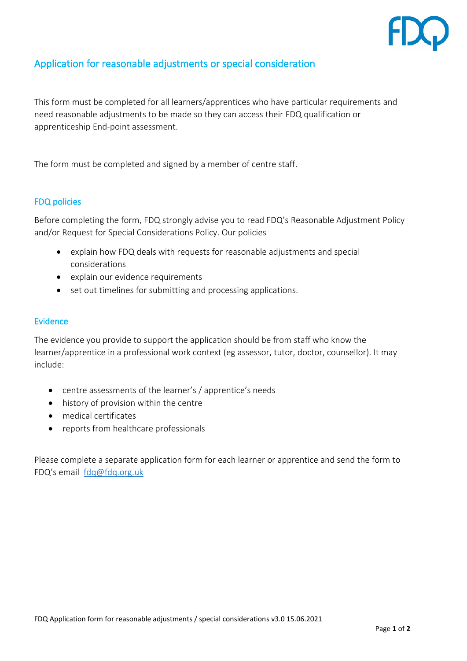

## Application for reasonable adjustments or special consideration

This form must be completed for all learners/apprentices who have particular requirements and need reasonable adjustments to be made so they can access their FDQ qualification or apprenticeship End-point assessment.

The form must be completed and signed by a member of centre staff.

## FDQ policies

Before completing the form, FDQ strongly advise you to read FDQ's Reasonable Adjustment Policy and/or Request for Special Considerations Policy. Our policies

- explain how FDQ deals with requests for reasonable adjustments and special considerations
- explain our evidence requirements
- set out timelines for submitting and processing applications.

## Evidence

The evidence you provide to support the application should be from staff who know the learner/apprentice in a professional work context (eg assessor, tutor, doctor, counsellor). It may include:

- centre assessments of the learner's / apprentice's needs
- history of provision within the centre
- medical certificates
- reports from healthcare professionals

Please complete a separate application form for each learner or apprentice and send the form to FDQ's email [fdq@fdq.org.uk](mailto:fdq@fdq.org.uk)